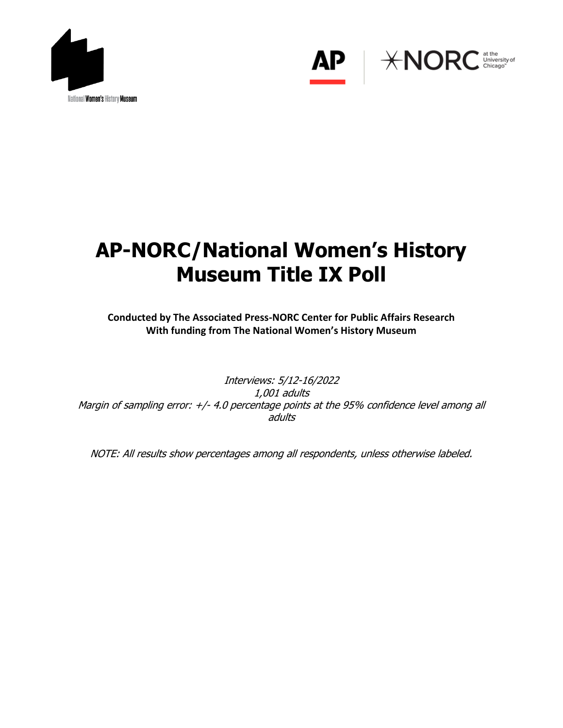



# **AP-NORC/National Women's History Museum Title IX Poll**

**Conducted by The Associated Press-NORC Center for Public Affairs Research With funding from The National Women's History Museum**

Interviews: 5/12-16/2022 1,001 adults Margin of sampling error: +/- 4.0 percentage points at the 95% confidence level among all adults

NOTE: All results show percentages among all respondents, unless otherwise labeled.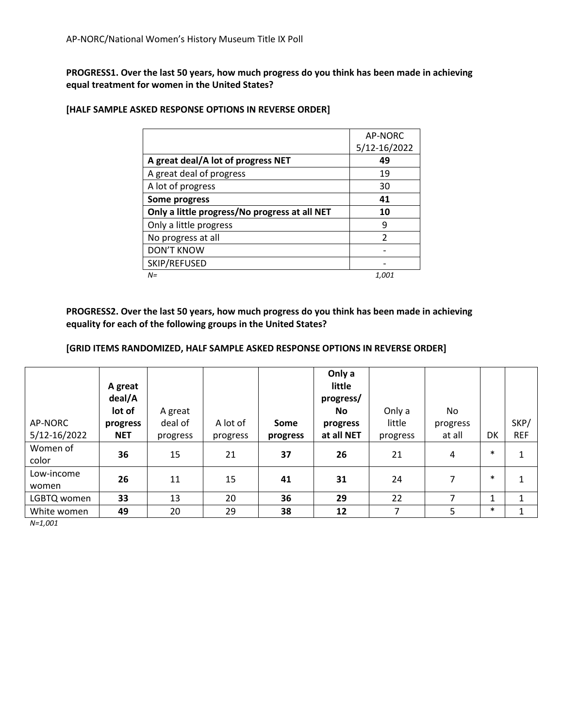## **PROGRESS1. Over the last 50 years, how much progress do you think has been made in achieving equal treatment for women in the United States?**

|                                               | AP-NORC      |
|-----------------------------------------------|--------------|
|                                               | 5/12-16/2022 |
| A great deal/A lot of progress NET            | 49           |
| A great deal of progress                      | 19           |
| A lot of progress                             | 30           |
| Some progress                                 | 41           |
| Only a little progress/No progress at all NET | 10           |
| Only a little progress                        | q            |
| No progress at all                            | C            |
| <b>DON'T KNOW</b>                             |              |
| SKIP/REFUSED                                  |              |
| $N =$                                         | 1.001        |

#### **[HALF SAMPLE ASKED RESPONSE OPTIONS IN REVERSE ORDER]**

**PROGRESS2. Over the last 50 years, how much progress do you think has been made in achieving equality for each of the following groups in the United States?**

#### **[GRID ITEMS RANDOMIZED, HALF SAMPLE ASKED RESPONSE OPTIONS IN REVERSE ORDER]**

|                         | A great<br>deal/A<br>lot of | A great             |                      |                  | Only a<br>little<br>progress/<br>No. | Only a             | No.                |        |                    |
|-------------------------|-----------------------------|---------------------|----------------------|------------------|--------------------------------------|--------------------|--------------------|--------|--------------------|
| AP-NORC<br>5/12-16/2022 | progress<br><b>NET</b>      | deal of<br>progress | A lot of<br>progress | Some<br>progress | progress<br>at all NET               | little<br>progress | progress<br>at all | DK     | SKP/<br><b>REF</b> |
| Women of<br>color       | 36                          | 15                  | 21                   | 37               | 26                                   | 21                 | 4                  | $\ast$ | 1                  |
| Low-income<br>women     | 26                          | 11                  | 15                   | 41               | 31                                   | 24                 | 7                  | $\ast$ | 1                  |
| LGBTQ women             | 33                          | 13                  | 20                   | 36               | 29                                   | 22                 | 7                  | 1      | $\mathbf{1}$       |
| White women             | 49                          | 20                  | 29                   | 38               | 12                                   | 7                  | 5                  | $\ast$ | 1                  |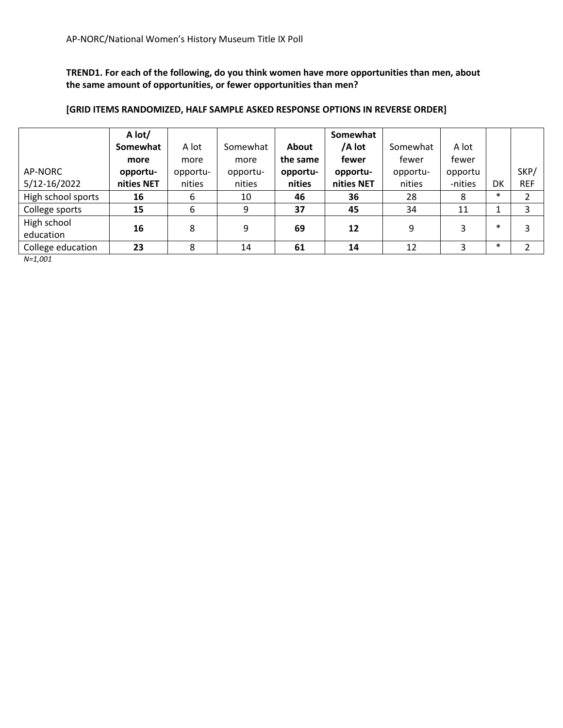**TREND1. For each of the following, do you think women have more opportunities than men, about the same amount of opportunities, or fewer opportunities than men?** 

|                    | A lot/     |          |          |              | Somewhat   |          |         |        |                |
|--------------------|------------|----------|----------|--------------|------------|----------|---------|--------|----------------|
|                    | Somewhat   | A lot    | Somewhat | <b>About</b> | /A lot     | Somewhat | A lot   |        |                |
|                    | more       | more     | more     | the same     | fewer      | fewer    | fewer   |        |                |
| AP-NORC            | opportu-   | opportu- | opportu- | opportu-     | opportu-   | opportu- | opportu |        | SKP/           |
| 5/12-16/2022       | nities NET | nities   | nities   | nities       | nities NET | nities   | -nities | DK     | <b>REF</b>     |
| High school sports | 16         | 6        | 10       | 46           | 36         | 28       | 8       | $\ast$ | $\overline{2}$ |
| College sports     | 15         | 6        | 9        | 37           | 45         | 34       | 11      | 1      | 3              |
| High school        | 16         |          | 9        |              | 12         | 9        | 3       | $\ast$ | 3              |
| education          |            | 8        |          | 69           |            |          |         |        |                |
| College education  | 23         | 8        | 14       | 61           | 14         | 12       | 3       | $\ast$ | ำ              |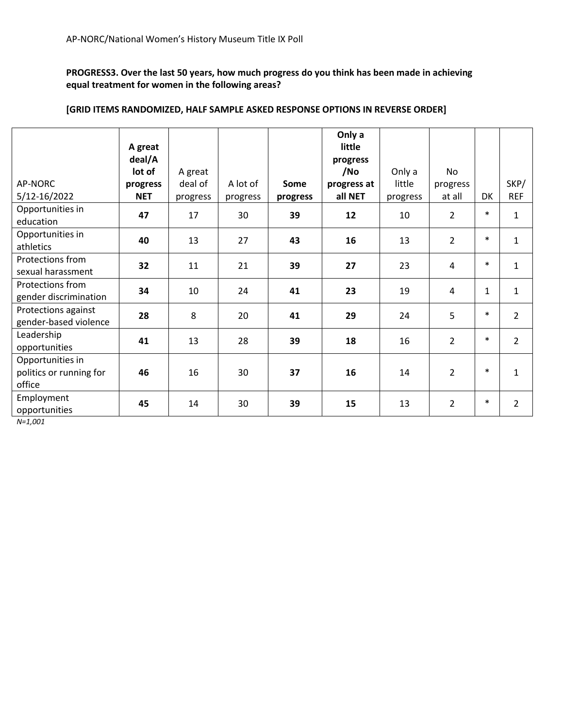**PROGRESS3. Over the last 50 years, how much progress do you think has been made in achieving equal treatment for women in the following areas?**

| AP-NORC<br>5/12-16/2022                               | A great<br>deal/A<br>lot of<br>progress<br><b>NET</b> | A great<br>deal of<br>progress | A lot of<br>progress | Some<br>progress | Only a<br>little<br>progress<br>/No<br>progress at<br>all NET | Only a<br>little<br>progress | <b>No</b><br>progress<br>at all | DK           | SKP/<br><b>REF</b> |
|-------------------------------------------------------|-------------------------------------------------------|--------------------------------|----------------------|------------------|---------------------------------------------------------------|------------------------------|---------------------------------|--------------|--------------------|
| Opportunities in<br>education                         | 47                                                    | 17                             | 30                   | 39               | 12                                                            | 10                           | $\overline{2}$                  | $\ast$       | 1                  |
| Opportunities in<br>athletics                         | 40                                                    | 13                             | 27                   | 43               | 16                                                            | 13                           | $\overline{2}$                  | $\ast$       | 1                  |
| Protections from<br>sexual harassment                 | 32                                                    | 11                             | 21                   | 39               | 27                                                            | 23                           | 4                               | $\ast$       | $\mathbf{1}$       |
| Protections from<br>gender discrimination             | 34                                                    | 10                             | 24                   | 41               | 23                                                            | 19                           | $\overline{4}$                  | $\mathbf{1}$ | $\mathbf{1}$       |
| Protections against<br>gender-based violence          | 28                                                    | 8                              | 20                   | 41               | 29                                                            | 24                           | 5                               | $\ast$       | $\overline{2}$     |
| Leadership<br>opportunities                           | 41                                                    | 13                             | 28                   | 39               | 18                                                            | 16                           | $\overline{2}$                  | $\ast$       | $\overline{2}$     |
| Opportunities in<br>politics or running for<br>office | 46                                                    | 16                             | 30                   | 37               | 16                                                            | 14                           | $\overline{2}$                  | $\ast$       | $\mathbf{1}$       |
| Employment<br>opportunities                           | 45                                                    | 14                             | 30                   | 39               | 15                                                            | 13                           | $\overline{2}$                  | $\ast$       | $\overline{2}$     |

#### **[GRID ITEMS RANDOMIZED, HALF SAMPLE ASKED RESPONSE OPTIONS IN REVERSE ORDER]**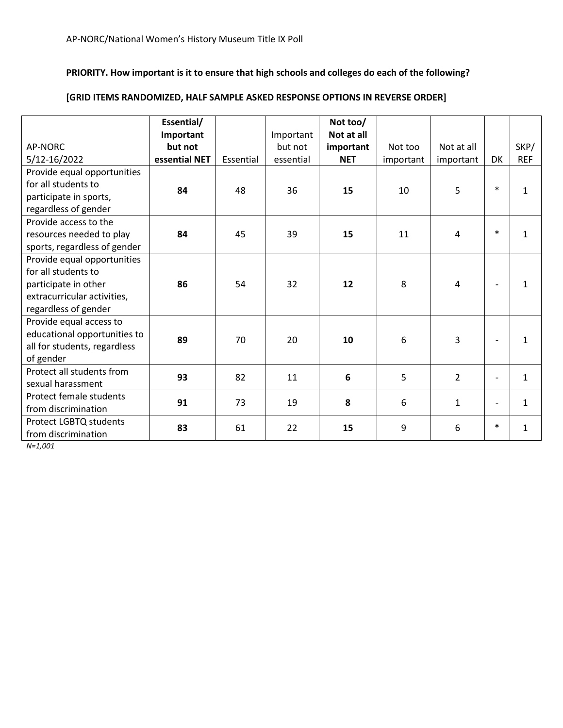# **PRIORITY. How important is it to ensure that high schools and colleges do each of the following?**

# **[GRID ITEMS RANDOMIZED, HALF SAMPLE ASKED RESPONSE OPTIONS IN REVERSE ORDER]**

|                              | Essential/<br>Important |           | Important | Not too/<br>Not at all |           |                |                          |              |
|------------------------------|-------------------------|-----------|-----------|------------------------|-----------|----------------|--------------------------|--------------|
| AP-NORC                      | but not                 |           | but not   | important              | Not too   | Not at all     |                          | SKP/         |
| 5/12-16/2022                 | essential NET           | Essential | essential | <b>NET</b>             | important | important      | DK                       | <b>REF</b>   |
| Provide equal opportunities  |                         |           |           |                        |           |                |                          |              |
| for all students to          | 84                      | 48        | 36        | 15                     | 10        | 5              | $\ast$                   | 1            |
| participate in sports,       |                         |           |           |                        |           |                |                          |              |
| regardless of gender         |                         |           |           |                        |           |                |                          |              |
| Provide access to the        |                         |           |           |                        |           |                |                          |              |
| resources needed to play     | 84                      | 45        | 39        | 15                     | 11        | 4              | $\ast$                   | 1            |
| sports, regardless of gender |                         |           |           |                        |           |                |                          |              |
| Provide equal opportunities  |                         |           |           |                        |           |                |                          |              |
| for all students to          |                         |           |           |                        |           |                |                          |              |
| participate in other         | 86                      | 54        | 32        | 12                     | 8         | 4              | $\overline{\phantom{a}}$ | 1            |
| extracurricular activities,  |                         |           |           |                        |           |                |                          |              |
| regardless of gender         |                         |           |           |                        |           |                |                          |              |
| Provide equal access to      |                         |           |           |                        |           |                |                          |              |
| educational opportunities to | 89                      | 70        | 20        | 10                     | 6         | 3              | $\overline{\phantom{a}}$ | 1            |
| all for students, regardless |                         |           |           |                        |           |                |                          |              |
| of gender                    |                         |           |           |                        |           |                |                          |              |
| Protect all students from    | 93                      | 82        | 11        | 6                      | 5         | $\overline{2}$ | $\overline{\phantom{a}}$ | $\mathbf{1}$ |
| sexual harassment            |                         |           |           |                        |           |                |                          |              |
| Protect female students      | 91                      | 73        | 19        | 8                      | 6         | $\mathbf{1}$   | $\overline{\phantom{a}}$ | $\mathbf{1}$ |
| from discrimination          |                         |           |           |                        |           |                |                          |              |
| Protect LGBTQ students       | 83                      | 61        | 22        | 15                     | 9         | 6              | $\ast$                   | 1            |
| from discrimination          |                         |           |           |                        |           |                |                          |              |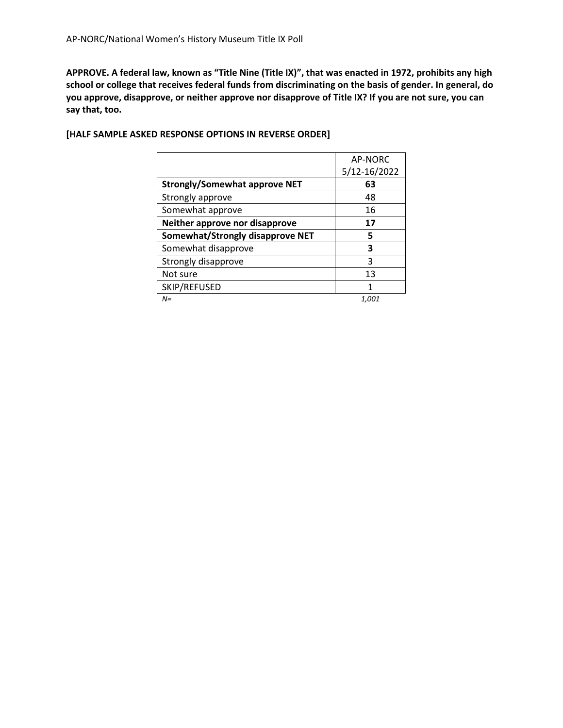**APPROVE. A federal law, known as "Title Nine (Title IX)", that was enacted in 1972, prohibits any high school or college that receives federal funds from discriminating on the basis of gender. In general, do you approve, disapprove, or neither approve nor disapprove of Title IX? If you are not sure, you can say that, too.**

|                                      | AP-NORC      |
|--------------------------------------|--------------|
|                                      | 5/12-16/2022 |
| <b>Strongly/Somewhat approve NET</b> | 63           |
| Strongly approve                     | 48           |
| Somewhat approve                     | 16           |
| Neither approve nor disapprove       | 17           |
| Somewhat/Strongly disapprove NET     | 5            |
| Somewhat disapprove                  | 3            |
| Strongly disapprove                  | 3            |
| Not sure                             | 13           |
| SKIP/REFUSED                         | 1            |
| N=                                   | 1,001        |

## **[HALF SAMPLE ASKED RESPONSE OPTIONS IN REVERSE ORDER]**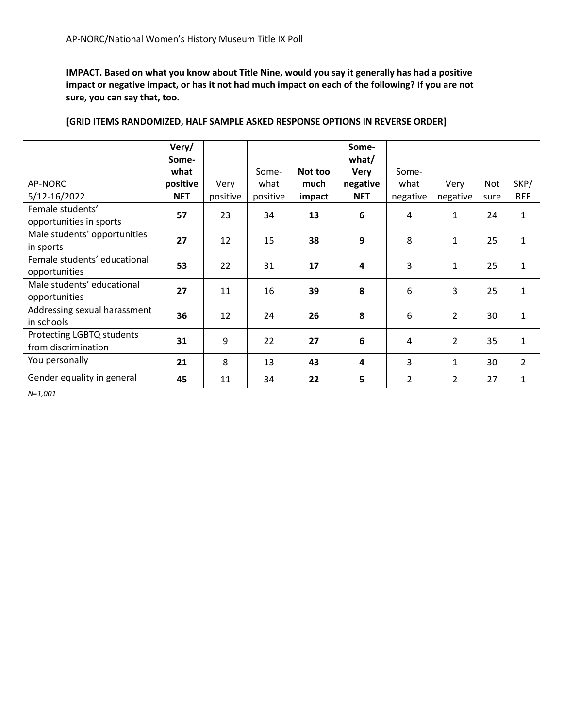**IMPACT. Based on what you know about Title Nine, would you say it generally has had a positive impact or negative impact, or has it not had much impact on each of the following? If you are not sure, you can say that, too.** 

|                              | Very/      |          |          |         | Some-                   |                |                |      |                |
|------------------------------|------------|----------|----------|---------|-------------------------|----------------|----------------|------|----------------|
|                              | Some-      |          |          |         | what/                   |                |                |      |                |
|                              | what       |          | Some-    | Not too | <b>Very</b>             | Some-          |                |      |                |
| AP-NORC                      | positive   | Very     | what     | much    | negative                | what           | Very           | Not  | SKP/           |
| 5/12-16/2022                 | <b>NET</b> | positive | positive | impact  | <b>NET</b>              | negative       | negative       | sure | <b>REF</b>     |
| Female students'             | 57         | 23       | 34       | 13      | 6                       | 4              | $\mathbf{1}$   | 24   | $\mathbf{1}$   |
| opportunities in sports      |            |          |          |         |                         |                |                |      |                |
| Male students' opportunities | 27         | 12       | 15       | 38      | 9                       | 8              | $\mathbf{1}$   | 25   | $\mathbf{1}$   |
| in sports                    |            |          |          |         |                         |                |                |      |                |
| Female students' educational | 53         | 22       | 31       | 17      | 4                       | 3              | $\mathbf{1}$   | 25   | $\mathbf{1}$   |
| opportunities                |            |          |          |         |                         |                |                |      |                |
| Male students' educational   | 27         | 11       | 16       | 39      | 8                       | 6              | 3              | 25   | $\mathbf{1}$   |
| opportunities                |            |          |          |         |                         |                |                |      |                |
| Addressing sexual harassment | 36         | 12       | 24       | 26      | 8                       | 6              | 2              | 30   | $\mathbf{1}$   |
| in schools                   |            |          |          |         |                         |                |                |      |                |
| Protecting LGBTQ students    | 31         | 9        | 22       | 27      | 6                       | 4              | $\overline{2}$ | 35   | $\mathbf{1}$   |
| from discrimination          |            |          |          |         |                         |                |                |      |                |
| You personally               | 21         | 8        | 13       | 43      | $\overline{\mathbf{4}}$ | 3              | 1              | 30   | $\overline{2}$ |
| Gender equality in general   | 45         | 11       | 34       | 22      | 5                       | $\overline{2}$ | 2              | 27   | $\mathbf{1}$   |

### **[GRID ITEMS RANDOMIZED, HALF SAMPLE ASKED RESPONSE OPTIONS IN REVERSE ORDER]**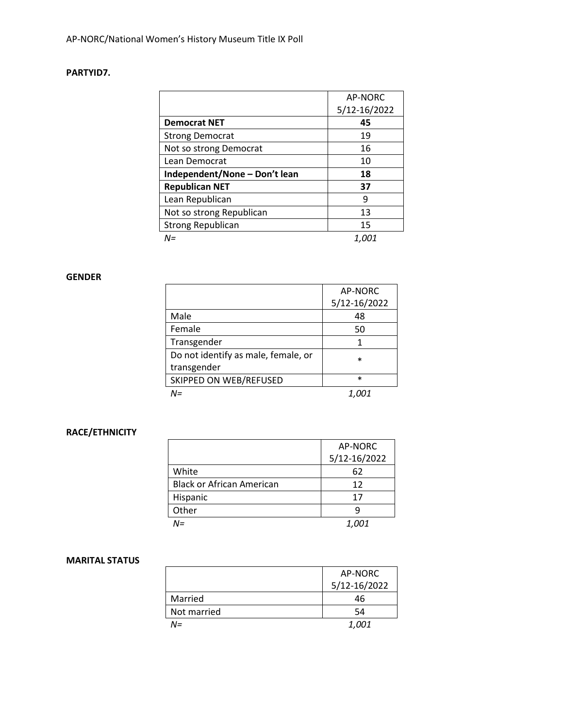# **PARTYID7.**

|                               | AP-NORC      |
|-------------------------------|--------------|
|                               | 5/12-16/2022 |
| <b>Democrat NET</b>           | 45           |
| <b>Strong Democrat</b>        | 19           |
| Not so strong Democrat        | 16           |
| Lean Democrat                 | 10           |
| Independent/None - Don't lean | 18           |
| <b>Republican NET</b>         | 37           |
| Lean Republican               | 9            |
| Not so strong Republican      | 13           |
| <b>Strong Republican</b>      | 15           |
| $N =$                         | 1,001        |

#### **GENDER**

|                                     | AP-NORC      |
|-------------------------------------|--------------|
|                                     | 5/12-16/2022 |
| Male                                | 48           |
| Female                              | 50           |
| Transgender                         |              |
| Do not identify as male, female, or | $\ast$       |
| transgender                         |              |
| SKIPPED ON WEB/REFUSED              | *            |
| $N =$                               |              |

# **RACE/ETHNICITY**

|                                  | AP-NORC      |
|----------------------------------|--------------|
|                                  | 5/12-16/2022 |
| White                            | 62           |
| <b>Black or African American</b> | 12           |
| Hispanic                         | 17           |
| Other                            | q            |
| NΞ                               | <i>1.001</i> |

### **MARITAL STATUS**

|             | AP-NORC      |
|-------------|--------------|
|             | 5/12-16/2022 |
| Married     | 46           |
| Not married | 54           |
| N=          | <i>1,001</i> |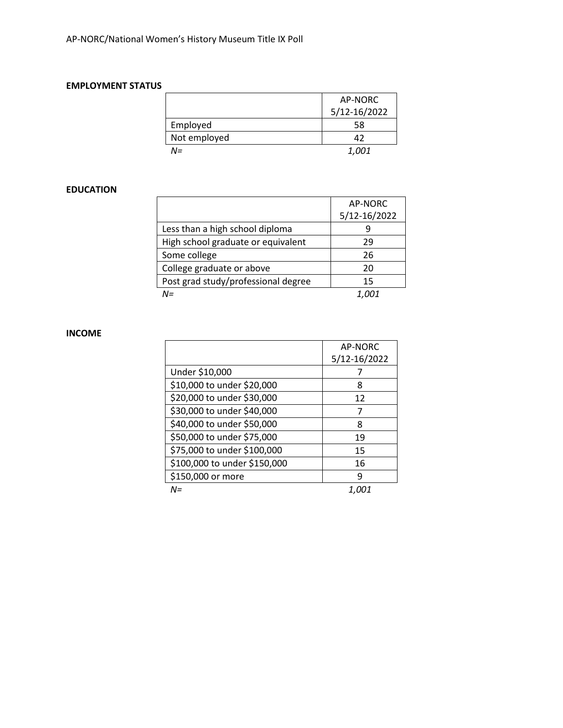#### **EMPLOYMENT STATUS**

|              | AP-NORC      |
|--------------|--------------|
|              | 5/12-16/2022 |
| Employed     | 58           |
| Not employed | 47           |
| N=           | <i>1,001</i> |

# **EDUCATION**

|                                     | AP-NORC      |
|-------------------------------------|--------------|
|                                     | 5/12-16/2022 |
| Less than a high school diploma     |              |
| High school graduate or equivalent  | 29           |
| Some college                        | 26           |
| College graduate or above           | 20           |
| Post grad study/professional degree | 15           |
| $N =$                               |              |

#### **INCOME**

|                              | AP-NORC      |
|------------------------------|--------------|
|                              | 5/12-16/2022 |
| Under \$10,000               |              |
| \$10,000 to under \$20,000   | 8            |
| \$20,000 to under \$30,000   | 12           |
| \$30,000 to under \$40,000   |              |
| \$40,000 to under \$50,000   | 8            |
| \$50,000 to under \$75,000   | 19           |
| \$75,000 to under \$100,000  | 15           |
| \$100,000 to under \$150,000 | 16           |
| \$150,000 or more            | q            |
| N=                           |              |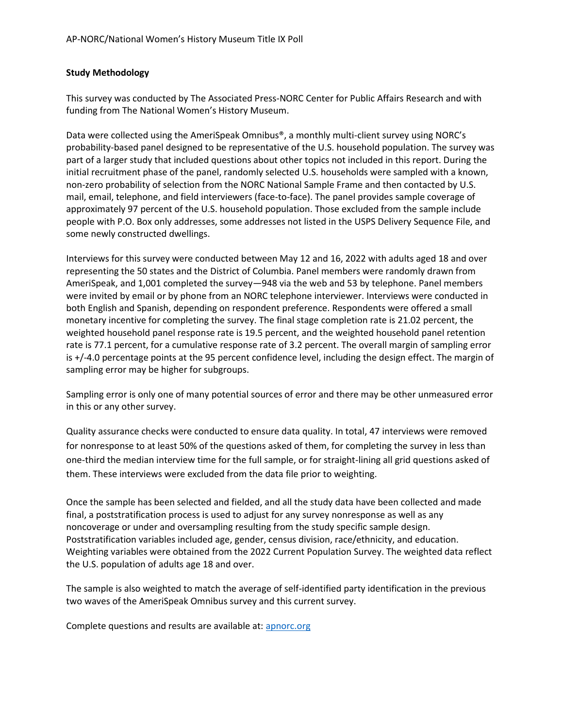## **Study Methodology**

This survey was conducted by The Associated Press-NORC Center for Public Affairs Research and with funding from The National Women's History Museum.

Data were collected using the AmeriSpeak Omnibus®, a monthly multi-client survey using NORC's probability-based panel designed to be representative of the U.S. household population. The survey was part of a larger study that included questions about other topics not included in this report. During the initial recruitment phase of the panel, randomly selected U.S. households were sampled with a known, non-zero probability of selection from the NORC National Sample Frame and then contacted by U.S. mail, email, telephone, and field interviewers (face-to-face). The panel provides sample coverage of approximately 97 percent of the U.S. household population. Those excluded from the sample include people with P.O. Box only addresses, some addresses not listed in the USPS Delivery Sequence File, and some newly constructed dwellings.

Interviews for this survey were conducted between May 12 and 16, 2022 with adults aged 18 and over representing the 50 states and the District of Columbia. Panel members were randomly drawn from AmeriSpeak, and 1,001 completed the survey—948 via the web and 53 by telephone. Panel members were invited by email or by phone from an NORC telephone interviewer. Interviews were conducted in both English and Spanish, depending on respondent preference. Respondents were offered a small monetary incentive for completing the survey. The final stage completion rate is 21.02 percent, the weighted household panel response rate is 19.5 percent, and the weighted household panel retention rate is 77.1 percent, for a cumulative response rate of 3.2 percent. The overall margin of sampling error is +/-4.0 percentage points at the 95 percent confidence level, including the design effect. The margin of sampling error may be higher for subgroups.

Sampling error is only one of many potential sources of error and there may be other unmeasured error in this or any other survey.

Quality assurance checks were conducted to ensure data quality. In total, 47 interviews were removed for nonresponse to at least 50% of the questions asked of them, for completing the survey in less than one-third the median interview time for the full sample, or for straight-lining all grid questions asked of them. These interviews were excluded from the data file prior to weighting.

Once the sample has been selected and fielded, and all the study data have been collected and made final, a poststratification process is used to adjust for any survey nonresponse as well as any noncoverage or under and oversampling resulting from the study specific sample design. Poststratification variables included age, gender, census division, race/ethnicity, and education. Weighting variables were obtained from the 2022 Current Population Survey. The weighted data reflect the U.S. population of adults age 18 and over.

The sample is also weighted to match the average of self-identified party identification in the previous two waves of the AmeriSpeak Omnibus survey and this current survey.

Complete questions and results are available at: [apnorc.org](https://apnorc.org/)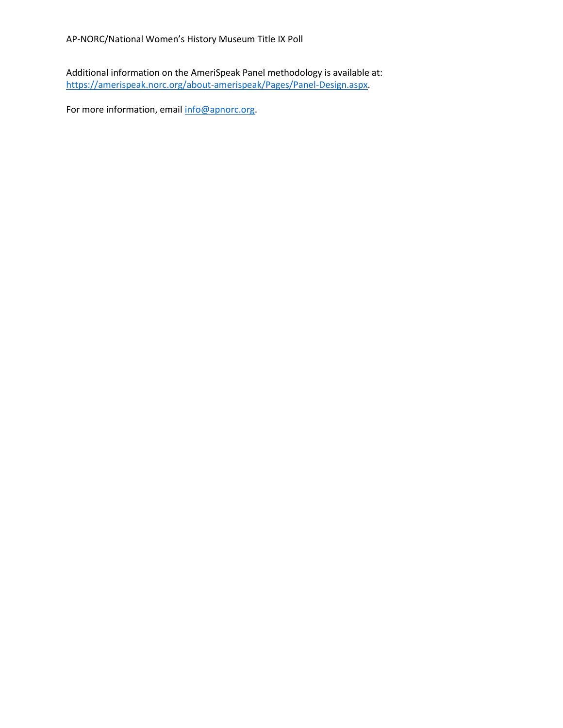Additional information on the AmeriSpeak Panel methodology is available at: [https://amerispeak.norc.org/about-amerispeak/Pages/Panel-Design.aspx.](https://amerispeak.norc.org/about-amerispeak/Pages/Panel-Design.aspx)

For more information, email [info@apnorc.org.](mailto:info@apnorc.org)